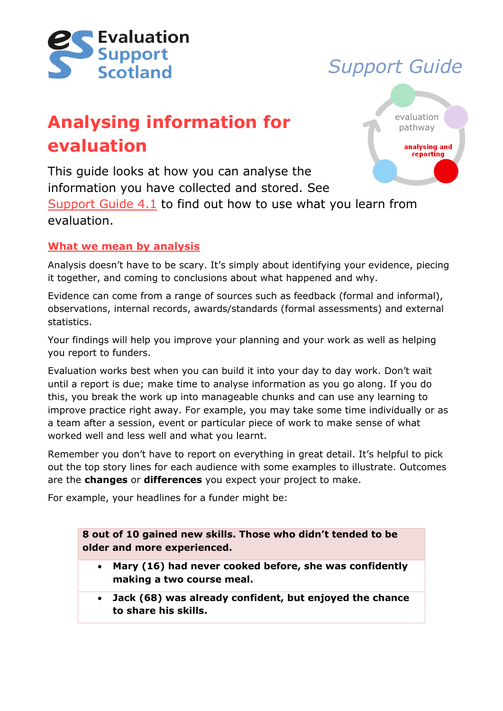

# *Support Guide*

# **Analysing information for evaluation**



This guide looks at how you can analyse the information you have collected and stored. See [Support Guide 4.1](http://evaluationsupportscotland.org.uk/resources/137/) to find out how to use what you learn from

evaluation.

# **What we mean by analysis**

Analysis doesn't have to be scary. It's simply about identifying your evidence, piecing it together, and coming to conclusions about what happened and why.

Evidence can come from a range of sources such as feedback (formal and informal), observations, internal records, awards/standards (formal assessments) and external statistics.

Your findings will help you improve your planning and your work as well as helping you report to funders.

Evaluation works best when you can build it into your day to day work. Don't wait until a report is due; make time to analyse information as you go along. If you do this, you break the work up into manageable chunks and can use any learning to improve practice right away. For example, you may take some time individually or as a team after a session, event or particular piece of work to make sense of what worked well and less well and what you learnt.

Remember you don't have to report on everything in great detail. It's helpful to pick out the top story lines for each audience with some examples to illustrate. Outcomes are the **changes** or **differences** you expect your project to make.

For example, your headlines for a funder might be:

**8 out of 10 gained new skills. Those who didn't tended to be older and more experienced.** 

- **Mary (16) had never cooked before, she was confidently making a two course meal.**
- **Jack (68) was already confident, but enjoyed the chance to share his skills.**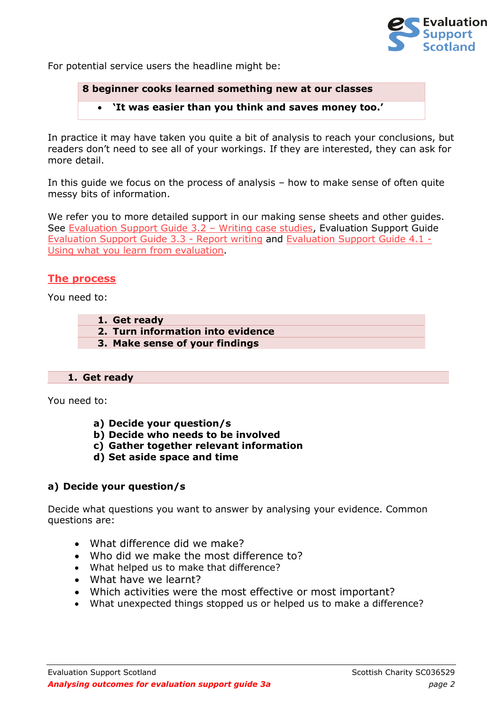

For potential service users the headline might be:

**8 beginner cooks learned something new at our classes**

• **'It was easier than you think and saves money too.'**

In practice it may have taken you quite a bit of analysis to reach your conclusions, but readers don't need to see all of your workings. If they are interested, they can ask for more detail.

In this guide we focus on the process of analysis – how to make sense of often quite messy bits of information.

We refer you to more detailed support in our making sense sheets and other guides. See [Evaluation Support Guide 3.2](http://evaluationsupportscotland.org.uk/resources/134/) – Writing case studies, Evaluation Support Guide [Evaluation Support Guide 3.3 -](http://evaluationsupportscotland.org.uk/resources/135/) Report writing and [Evaluation Support Guide 4.1 -](http://evaluationsupportscotland.org.uk/resources/137/) [Using what you learn from evaluation.](http://evaluationsupportscotland.org.uk/resources/137/)

# **The process**

You need to:

- **1. Get ready**
- **2. Turn information into evidence**
- **3. Make sense of your findings**

#### **1. Get ready**

You need to:

- **a) Decide your question/s**
- **b) Decide who needs to be involved**
- **c) Gather together relevant information**
- **d) Set aside space and time**

# **a) Decide your question/s**

Decide what questions you want to answer by analysing your evidence. Common questions are:

- What difference did we make?
- Who did we make the most difference to?
- What helped us to make that difference?
- What have we learnt?
- Which activities were the most effective or most important?
- What unexpected things stopped us or helped us to make a difference?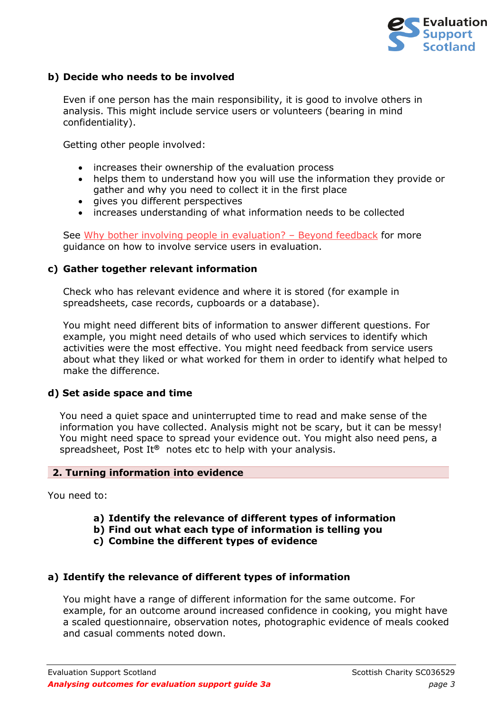

# **b) Decide who needs to be involved**

Even if one person has the main responsibility, it is good to involve others in analysis. This might include service users or volunteers (bearing in mind confidentiality).

Getting other people involved:

- increases their ownership of the evaluation process
- helps them to understand how you will use the information they provide or gather and why you need to collect it in the first place
- gives you different perspectives
- increases understanding of what information needs to be collected

See [Why bother involving people in evaluation?](http://www.evaluationsupportscotland.org.uk/resources/297/) - Beyond feedback for more guidance on how to involve service users in evaluation.

#### **c) Gather together relevant information**

Check who has relevant evidence and where it is stored (for example in spreadsheets, case records, cupboards or a database).

You might need different bits of information to answer different questions. For example, you might need details of who used which services to identify which activities were the most effective. You might need feedback from service users about what they liked or what worked for them in order to identify what helped to make the difference.

#### **d) Set aside space and time**

You need a quiet space and uninterrupted time to read and make sense of the information you have collected. Analysis might not be scary, but it can be messy! You might need space to spread your evidence out. You might also need pens, a spreadsheet, Post It**®** notes etc to help with your analysis.

#### **2. Turning information into evidence**

You need to:

- **a) Identify the relevance of different types of information**
- **b) Find out what each type of information is telling you**
- **c) Combine the different types of evidence**

# **a) Identify the relevance of different types of information**

You might have a range of different information for the same outcome. For example, for an outcome around increased confidence in cooking, you might have a scaled questionnaire, observation notes, photographic evidence of meals cooked and casual comments noted down.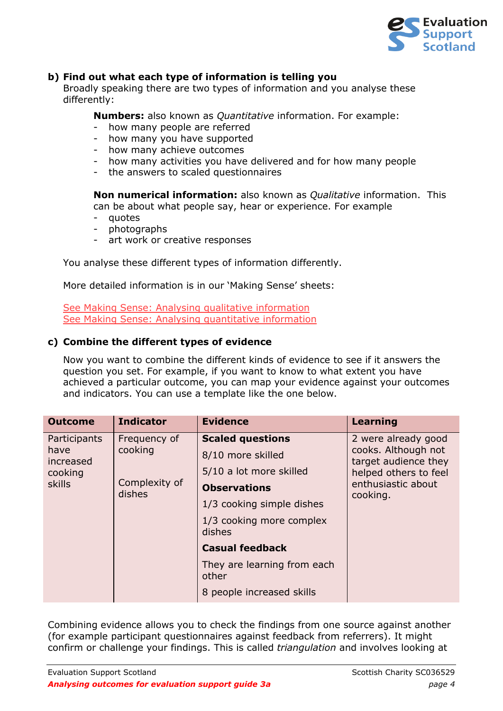

# **b) Find out what each type of information is telling you**

Broadly speaking there are two types of information and you analyse these differently:

**Numbers:** also known as *Quantitative* information. For example:

- how many people are referred
- how many you have supported
- how many achieve outcomes
- how many activities you have delivered and for how many people
- the answers to scaled questionnaires

**Non numerical information:** also known as *Qualitative* information. This can be about what people say, hear or experience. For example

- quotes
- photographs
- art work or creative responses

You analyse these different types of information differently.

More detailed information is in our 'Making Sense' sheets:

[See Making Sense: Analysing qualitative information](http://evaluationsupportscotland.org.uk/resources/518/) [See Making Sense: Analysing quantitative information](http://evaluationsupportscotland.org.uk/resources/519/)

# **c) Combine the different types of evidence**

Now you want to combine the different kinds of evidence to see if it answers the question you set. For example, if you want to know to what extent you have achieved a particular outcome, you can map your evidence against your outcomes and indicators. You can use a template like the one below.

| <b>Outcome</b>                                                | <b>Indicator</b>                                   | <b>Evidence</b>                                                                                                                                                   | <b>Learning</b>                                                                                                               |
|---------------------------------------------------------------|----------------------------------------------------|-------------------------------------------------------------------------------------------------------------------------------------------------------------------|-------------------------------------------------------------------------------------------------------------------------------|
| Participants<br>have<br>increased<br>cooking<br><b>skills</b> | Frequency of<br>cooking<br>Complexity of<br>dishes | <b>Scaled questions</b><br>8/10 more skilled<br>5/10 a lot more skilled<br><b>Observations</b><br>1/3 cooking simple dishes<br>1/3 cooking more complex<br>dishes | 2 were already good<br>cooks. Although not<br>target audience they<br>helped others to feel<br>enthusiastic about<br>cooking. |
|                                                               |                                                    | <b>Casual feedback</b>                                                                                                                                            |                                                                                                                               |
|                                                               |                                                    | They are learning from each<br>other                                                                                                                              |                                                                                                                               |
|                                                               |                                                    | 8 people increased skills                                                                                                                                         |                                                                                                                               |

Combining evidence allows you to check the findings from one source against another (for example participant questionnaires against feedback from referrers). It might confirm or challenge your findings. This is called *triangulation* and involves looking at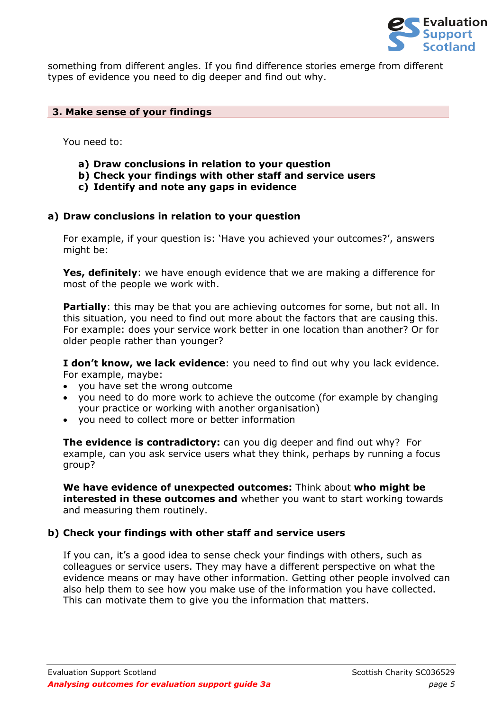

something from different angles. If you find difference stories emerge from different types of evidence you need to dig deeper and find out why.

#### **3. Make sense of your findings**

You need to:

- **a) Draw conclusions in relation to your question**
- **b) Check your findings with other staff and service users**
- **c) Identify and note any gaps in evidence**

#### **a) Draw conclusions in relation to your question**

For example, if your question is: 'Have you achieved your outcomes?', answers might be:

**Yes, definitely**: we have enough evidence that we are making a difference for most of the people we work with.

**Partially**: this may be that you are achieving outcomes for some, but not all. In this situation, you need to find out more about the factors that are causing this. For example: does your service work better in one location than another? Or for older people rather than younger?

**I don't know, we lack evidence**: you need to find out why you lack evidence. For example, maybe:

- you have set the wrong outcome
- you need to do more work to achieve the outcome (for example by changing your practice or working with another organisation)
- you need to collect more or better information

**The evidence is contradictory:** can you dig deeper and find out why? For example, can you ask service users what they think, perhaps by running a focus group?

**We have evidence of unexpected outcomes:** Think about **who might be interested in these outcomes and** whether you want to start working towards and measuring them routinely.

# **b) Check your findings with other staff and service users**

If you can, it's a good idea to sense check your findings with others, such as colleagues or service users. They may have a different perspective on what the evidence means or may have other information. Getting other people involved can also help them to see how you make use of the information you have collected. This can motivate them to give you the information that matters.